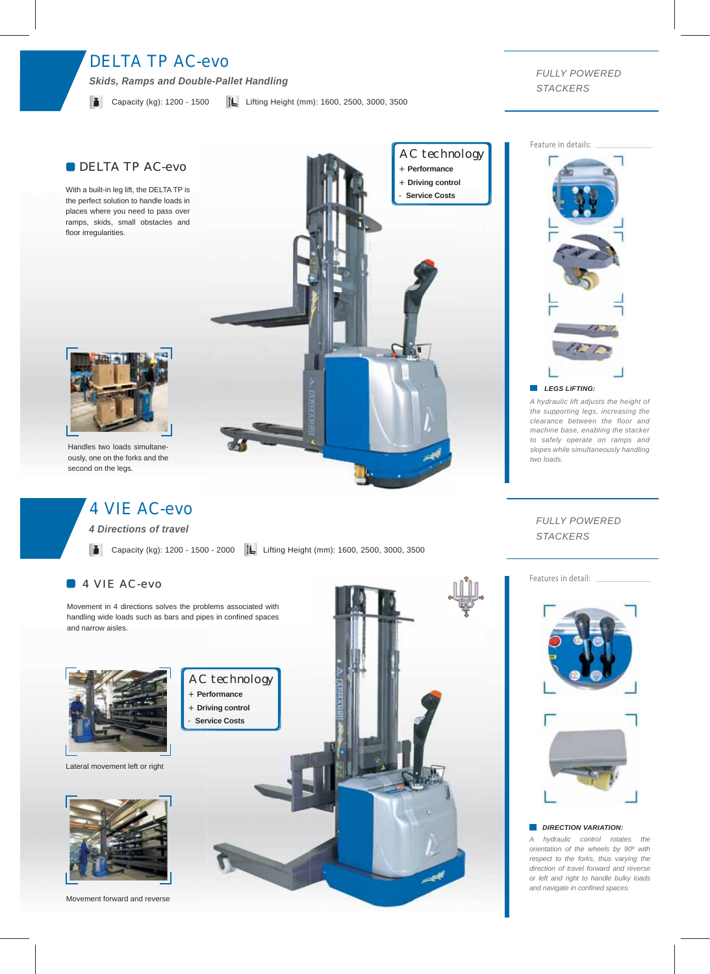# DELTA TP AC-evo

*Skids, Ramps and Double-Pallet Handling*

#### **Capacity (kg): 1200 - 1500**  $\downarrow$  Lifting Height (mm): 1600, 2500, 3000, 3500

*FULLY POWERED STACKERS*

Feature in details:

## DELTA TP AC-evo

With a built-in leg lift, the DELTA TP is the perfect solution to handle loads in places where you need to pass over ramps, skids, small obstacles and floor irregularities.



Handles two loads simultaneously, one on the forks and the second on the legs.

# 4 VIE AC-evo

*4 Directions of travel*

Capacity (kg): 1200 - 1500 - 2000 | Lifting Height (mm): 1600, 2500, 3000, 3500

AC technology + **Performance** + **Driving control** Service Costs

## 4 VIE AC-evo

Movement in 4 directions solves the problems associated with handling wide loads such as bars and pipes in confined spaces and narrow aisles.



Lateral movement left or right



Movement forward and reverse





*A hydraulic lift adjusts the height of the supporting legs, increasing the clearance between the floor and machine base, enabling the stacker to safely operate on ramps and slopes while simultaneously handling two loads.*

### *FULLY POWERED STACKERS*

#### Features in detail:





#### *DIRECTION VARIATION:*

*A hydraulic control rotates the orientation of the wheels by 90º with respect to the forks, thus varying the direction of travel forward and reverse or left and right to handle bulky loads and navigate in confined spaces.*